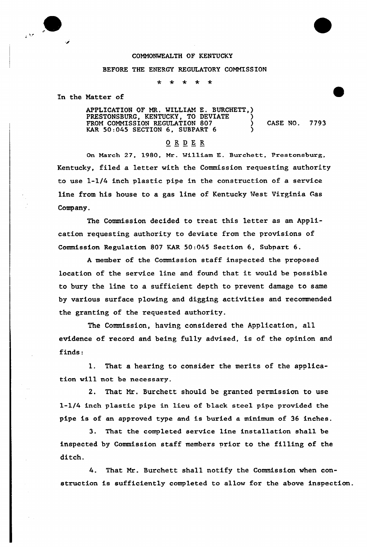## COMMONWEALTH OF KENTUCKY

## BEFORE THE ENERGY REGULATORY COMMISSION

 $\star$  $\star$ 

In the Matter of

APPLICATION OF MR. WILLIAM E. BURCHETT,) PRESTONSBURG, KENTUCKY, TO DEVIATE ) FROM COMMISSION REGULATION 807 (CASE NO. 7793 KAR 50:045 SECTION 6, SUBPART 6

## ORDER

On March 27, 1980, Mr. Wi1liam E. Burchett, Prestonsburg, Kentucky, filed a letter with the Commission requesting authority to use 1-1/4 inch plastic pipe in the construction of a service line from his house to a gas line of Kentucky West Virginia Gas Company.

The Commission decided to treat this letter as an Application requesting authority to deviate from the provisions of Commission Regulation 807 KAR 50:045 Section 6, Subpart 6.

<sup>A</sup> member of the Commission staff inspected the proposed location of the service line and found that it would be possible to bury the line to a sufficient depth to prevent damage to same by various surface plowing and digging activities and recommended the granting of the requested authority.

The Commission, having considered the Application, all evidence of record and being fully advised, is of the opinion and finds:

1. That a hearing to consider the merits of the application will not be necessary.

2. That Mr. Burchett should be granted permission to use l-l/4 inch plastic pipe in lieu of black steel pipe provided the pipe is of an approved type and is buried a minimum of 36 inches.

3. That the completed service line installation shall be inspected by Commission staff members prior to the filling of the ditch.

4. That Mr. Burchett shall notify the Commission when construction is sufficiently completed to allow for the above inspection.